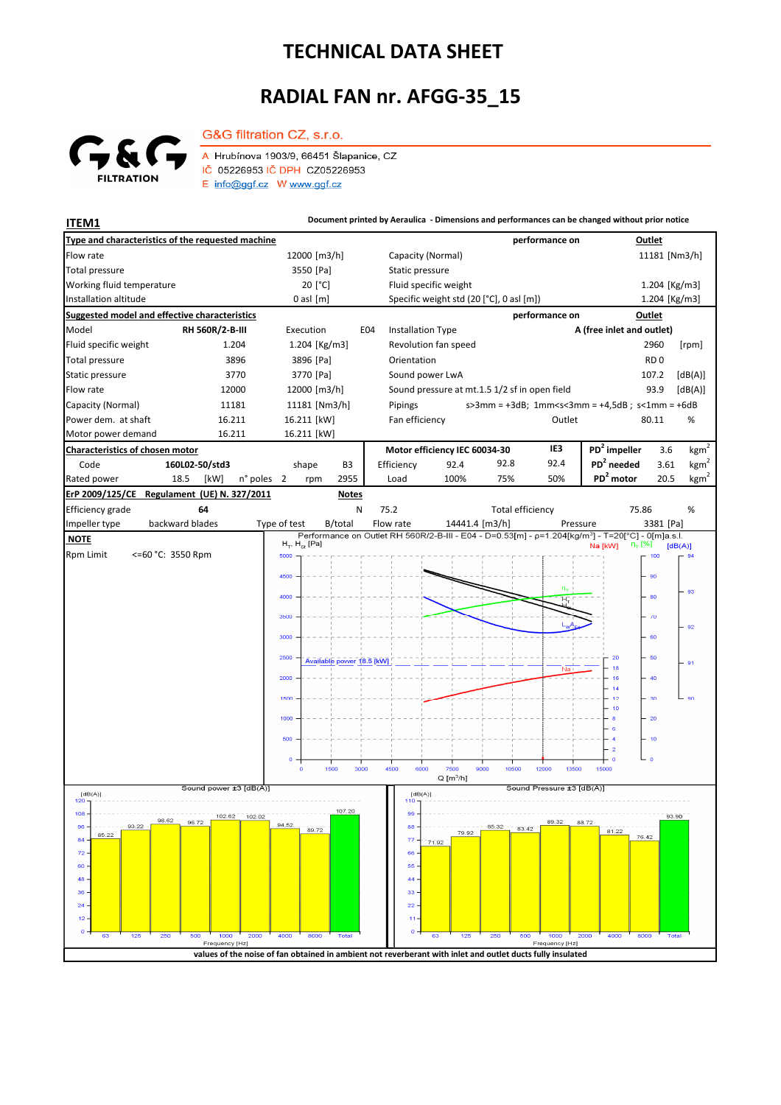## **TECHNICAL DATA SHEET**

## **RADIAL FAN nr. AFGG-35\_15**



G&G filtration CZ, s.r.o. A Hrubínova 1903/9, 66451 Šlapanice, CZ IČ 05226953 IČ DPH CZ05226953 E info@ggf.cz W www.ggf.cz

**ITEM1 ITEM1 Document printed by Aeraulica** - Dimensions and performances can be changed without prior notice

| Type and characteristics of the requested machine    |                                                                                                            |                       |               |                           |                 |                                               |                                          |                         | performance on                |                                                                                                               | Outlet          |                  |  |
|------------------------------------------------------|------------------------------------------------------------------------------------------------------------|-----------------------|---------------|---------------------------|-----------------|-----------------------------------------------|------------------------------------------|-------------------------|-------------------------------|---------------------------------------------------------------------------------------------------------------|-----------------|------------------|--|
| Flow rate                                            |                                                                                                            |                       | 12000 [m3/h]  |                           |                 |                                               | Capacity (Normal)                        |                         |                               |                                                                                                               | 11181 [Nm3/h]   |                  |  |
| Total pressure                                       | 3550 [Pa]                                                                                                  |                       |               |                           | Static pressure |                                               |                                          |                         |                               |                                                                                                               |                 |                  |  |
| Working fluid temperature                            |                                                                                                            |                       | 20 [°C]       |                           |                 |                                               | Fluid specific weight                    |                         |                               |                                                                                                               | 1.204 [Kg/m3]   |                  |  |
| Installation altitude                                |                                                                                                            |                       | $0$ asl $[m]$ |                           |                 |                                               | Specific weight std (20 [°C], 0 asl [m]) |                         |                               |                                                                                                               | 1.204 [Kg/m3]   |                  |  |
| <b>Suggested model and effective characteristics</b> |                                                                                                            |                       |               |                           |                 |                                               |                                          |                         | performance on                |                                                                                                               | Outlet          |                  |  |
| Model                                                | RH 560R/2-B-III                                                                                            |                       |               | Execution<br>E04          |                 |                                               | <b>Installation Type</b>                 |                         |                               | A (free inlet and outlet)                                                                                     |                 |                  |  |
| Fluid specific weight                                | 1.204                                                                                                      |                       | 1.204 [Kg/m3] |                           |                 |                                               | Revolution fan speed                     |                         |                               |                                                                                                               | 2960            | [rpm]            |  |
| <b>Total pressure</b>                                | 3896                                                                                                       |                       | 3896 [Pa]     |                           |                 | Orientation                                   |                                          |                         |                               |                                                                                                               | RD <sub>0</sub> |                  |  |
| Static pressure                                      | 3770                                                                                                       |                       | 3770 [Pa]     |                           |                 | Sound power LwA                               |                                          |                         |                               |                                                                                                               | 107.2           | [dB(A)]          |  |
| Flow rate<br>12000                                   |                                                                                                            |                       | 12000 [m3/h]  |                           |                 | Sound pressure at mt.1.5 1/2 sf in open field |                                          |                         |                               |                                                                                                               | 93.9            | [dB(A)]          |  |
| Capacity (Normal)<br>11181                           |                                                                                                            |                       | 11181 [Nm3/h] |                           |                 | Pipings                                       |                                          |                         |                               | $s > 3$ mm = +3dB; 1mm <s<3mm +4,5db;="" =="" s<1mm="+6dB&lt;/td"><td></td><td></td></s<3mm>                  |                 |                  |  |
| Power dem. at shaft<br>16.211<br>16.211              |                                                                                                            |                       | 16.211 [kW]   |                           |                 | Fan efficiency                                |                                          |                         | Outlet                        |                                                                                                               | 80.11           | %                |  |
| Motor power demand                                   | 16.211 [kW]                                                                                                |                       |               |                           |                 |                                               |                                          |                         |                               |                                                                                                               |                 |                  |  |
| Characteristics of chosen motor                      |                                                                                                            |                       |               |                           |                 | Motor efficiency IEC 60034-30                 |                                          |                         | IE3                           | PD <sup>2</sup> impeller                                                                                      | 3.6             | kgm <sup>2</sup> |  |
| Code                                                 | 160L02-50/std3                                                                                             |                       | shape         | B <sub>3</sub>            |                 | Efficiency                                    | 92.4                                     | 92.8                    | 92.4                          | $PD2$ needed                                                                                                  | 3.61            | kgm <sup>2</sup> |  |
| Rated power<br>18.5                                  | n° poles<br>[kW]                                                                                           | $\overline{2}$        | rpm           | 2955                      |                 | Load                                          | 100%                                     | 75%                     | 50%                           | PD <sup>2</sup> motor                                                                                         | 20.5            | $\text{kgm}^2$   |  |
| ErP 2009/125/CE                                      | Regulament (UE) N. 327/2011                                                                                |                       |               | <b>Notes</b>              |                 |                                               |                                          |                         |                               |                                                                                                               |                 |                  |  |
| Efficiency grade                                     | 64                                                                                                         |                       |               |                           | N               | 75.2                                          |                                          | <b>Total efficiency</b> |                               | 75.86                                                                                                         |                 | %                |  |
| backward blades<br>Impeller type                     |                                                                                                            | Type of test          |               | B/total                   |                 | Flow rate                                     |                                          | 14441.4 [m3/h]          | Pressure                      | Performance on Outlet RH 560R/2-B-III - E04 - D=0.53[m] - p=1.204[kg/m <sup>3</sup> ] - T=20[°C] - 0[m]a.s.l. | 3381 [Pa]       |                  |  |
| <b>NOTE</b>                                          |                                                                                                            | $H_T$ , $H_{St}$ [Pa] |               |                           |                 |                                               |                                          |                         | $\eta_{\tau}$ [%]<br>Na [kW]  |                                                                                                               | [dB(A)]         |                  |  |
| <b>Rpm Limit</b><br><= 60 °C: 3550 Rpm               |                                                                                                            | 5000                  |               |                           |                 |                                               |                                          |                         |                               |                                                                                                               | 100             | 94               |  |
|                                                      |                                                                                                            | 4500                  |               |                           |                 |                                               |                                          |                         |                               |                                                                                                               | 90              |                  |  |
|                                                      |                                                                                                            | 4000                  |               |                           |                 |                                               |                                          |                         | $n_T$                         |                                                                                                               | 80              | 93               |  |
|                                                      |                                                                                                            |                       |               |                           |                 |                                               |                                          |                         |                               |                                                                                                               |                 |                  |  |
|                                                      |                                                                                                            | 3500                  |               |                           |                 |                                               |                                          |                         |                               |                                                                                                               | $-70$           | 92               |  |
|                                                      |                                                                                                            | 3000                  |               |                           |                 |                                               |                                          |                         |                               |                                                                                                               | 60              |                  |  |
|                                                      |                                                                                                            | 2500                  |               |                           |                 |                                               |                                          |                         |                               |                                                                                                               | 50              |                  |  |
|                                                      |                                                                                                            |                       |               | Available power 18.5 [kW] |                 |                                               |                                          |                         | Na                            |                                                                                                               |                 | 91               |  |
|                                                      |                                                                                                            | 2000                  |               |                           |                 |                                               |                                          |                         |                               |                                                                                                               | 40              |                  |  |
|                                                      |                                                                                                            | 1500                  |               |                           |                 |                                               |                                          |                         |                               | 14<br>12                                                                                                      | $-30$           | 90               |  |
|                                                      |                                                                                                            |                       |               |                           |                 |                                               |                                          |                         |                               | 10                                                                                                            |                 |                  |  |
|                                                      |                                                                                                            | 1000                  |               |                           |                 |                                               |                                          |                         |                               | 6                                                                                                             | $-20$           |                  |  |
|                                                      |                                                                                                            | 500                   |               |                           |                 |                                               |                                          |                         |                               |                                                                                                               | $-10$           |                  |  |
|                                                      |                                                                                                            | o                     |               |                           |                 |                                               |                                          |                         |                               | $\overline{2}$<br>C                                                                                           | ە جا            |                  |  |
|                                                      |                                                                                                            |                       | $\mathbf{o}$  | 1500                      | 3000            | 4500                                          | 6000<br>7500                             | 9000<br>10500           | 12000<br>13500                | 15000                                                                                                         |                 |                  |  |
| Sound power ±3 [dB(A)]                               |                                                                                                            |                       |               |                           |                 |                                               | $Q[m^3/h]$<br>Sound Pressure ±3 [dB(A)]  |                         |                               |                                                                                                               |                 |                  |  |
| [dB(A)]<br>120                                       |                                                                                                            |                       |               |                           |                 | 110                                           | [dB(A)]                                  |                         |                               |                                                                                                               |                 |                  |  |
| $108 -$<br>98.62                                     | 102.62<br>102.02                                                                                           |                       |               | 107.20                    |                 | 99                                            |                                          |                         | 89.32                         |                                                                                                               | 93.90           |                  |  |
| 93.22<br>94.52<br>$96 -$<br>89.72<br>85.22           |                                                                                                            |                       |               |                           |                 | $88 -$                                        | 79.92                                    | 85.32                   | 83.42                         | 81.22                                                                                                         | 76.42           |                  |  |
| $84 -$<br>72.                                        |                                                                                                            |                       |               |                           |                 | $77 -$<br>66                                  | 71.92                                    |                         |                               |                                                                                                               |                 |                  |  |
| 60                                                   |                                                                                                            |                       |               |                           |                 | 55                                            |                                          |                         |                               |                                                                                                               |                 |                  |  |
| 48                                                   |                                                                                                            |                       |               |                           |                 | 44                                            |                                          |                         |                               |                                                                                                               |                 |                  |  |
| 36                                                   |                                                                                                            |                       |               |                           |                 | 33                                            |                                          |                         |                               |                                                                                                               |                 |                  |  |
| 24                                                   |                                                                                                            |                       |               |                           |                 | 22                                            |                                          |                         |                               |                                                                                                               |                 |                  |  |
| 12                                                   |                                                                                                            |                       |               |                           |                 |                                               |                                          |                         |                               |                                                                                                               |                 |                  |  |
| 125<br>250<br>500<br>63                              | 1000<br>2000<br>Frequency [Hz]                                                                             | 4000                  | 8000          | <b>Total</b>              |                 | o                                             | 63<br>125                                | 250                     | 1000<br>500<br>Frequency [Hz] | 2000<br>4000                                                                                                  | 8000<br>Total   |                  |  |
|                                                      | values of the noise of fan obtained in ambient not reverberant with inlet and outlet ducts fully insulated |                       |               |                           |                 |                                               |                                          |                         |                               |                                                                                                               |                 |                  |  |
|                                                      |                                                                                                            |                       |               |                           |                 |                                               |                                          |                         |                               |                                                                                                               |                 |                  |  |